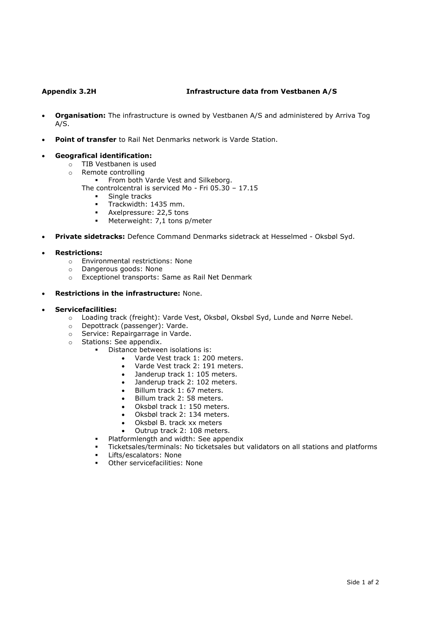# **Appendix 3.2H Infrastructure data from Vestbanen A/S**

- **Organisation:** The infrastructure is owned by Vestbanen A/S and administered by Arriva Tog A/S.
- **Point of transfer** to Rail Net Denmarks network is Varde Station.

## • **Geografical identification:**

- o TIB Vestbanen is used
- o Remote controlling
	- **•** From both Varde Vest and Silkeborg. The controlcentral is serviced Mo - Fri 05.30 – 17.15
		- Single tracks
		- Trackwidth: 1435 mm.
		- Axelpressure: 22,5 tons
		- **■** Meterweight: 7,1 tons p/meter
- **Private sidetracks:** Defence Command Denmarks sidetrack at Hesselmed Oksbøl Syd.

# • **Restrictions:**

- o Environmental restrictions: None
- o Dangerous goods: None
- o Exceptionel transports: Same as Rail Net Denmark
- **Restrictions in the infrastructure:** None.

## • **Servicefacilities:**

- o Loading track (freight): Varde Vest, Oksbøl, Oksbøl Syd, Lunde and Nørre Nebel.
- o Depottrack (passenger): Varde.
- o Service: Repairgarrage in Varde.
- o Stations: See appendix.
	- Distance between isolations is:
		- Varde Vest track 1: 200 meters.
		- Varde Vest track 2: 191 meters.
		- Janderup track 1: 105 meters.
		- Janderup track 2: 102 meters.
		- Billum track 1: 67 meters.
		- Billum track 2: 58 meters.
		- Oksbøl track 1: 150 meters.
		- Oksbøl track 2: 134 meters.
		- Oksbøl B. track xx meters
		- Outrup track 2: 108 meters.
		- Platformlength and width: See appendix
		- Ticketsales/terminals: No ticketsales but validators on all stations and platforms
		- Lifts/escalators: None
		- Other servicefacilities: None